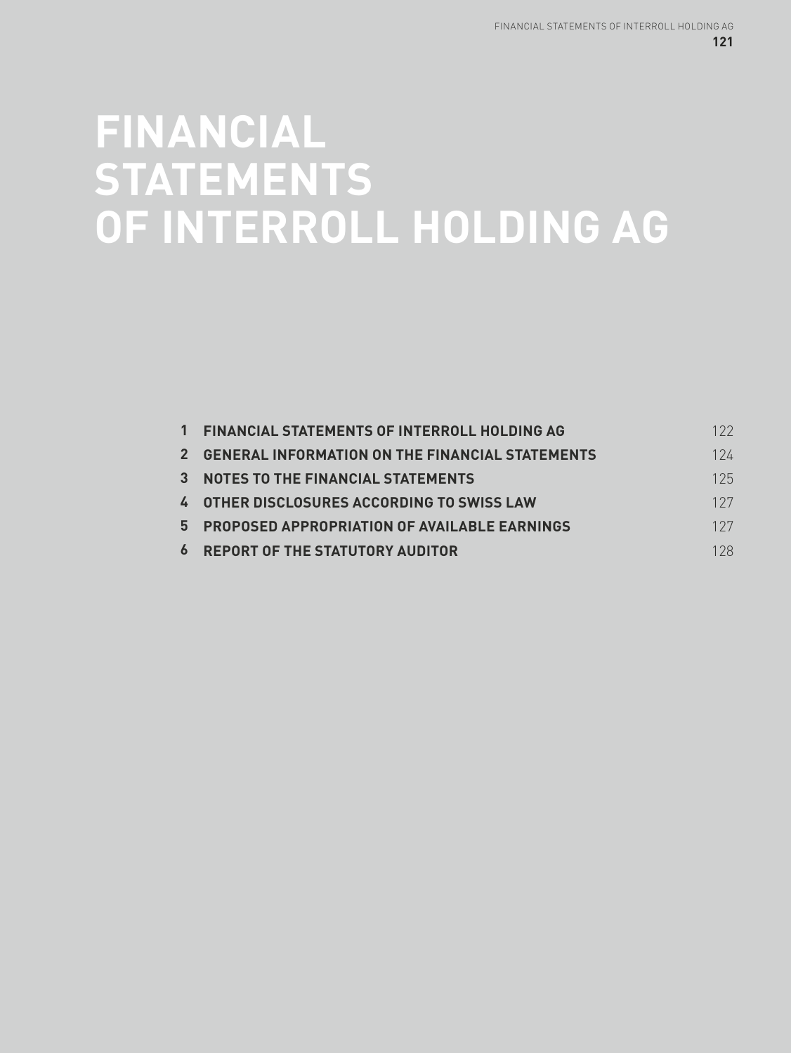# **FINANCIAL STATEMENTS OF INTERROLL HOLDING AG**

| $1 \quad$ | <b>FINANCIAL STATEMENTS OF INTERROLL HOLDING AG</b> | 122 |
|-----------|-----------------------------------------------------|-----|
|           | 2 GENERAL INFORMATION ON THE FINANCIAL STATEMENTS   | 124 |
|           | 3 NOTES TO THE FINANCIAL STATEMENTS                 | 125 |
|           | <b>4 OTHER DISCLOSURES ACCORDING TO SWISS LAW</b>   | 127 |
|           | 5 PROPOSED APPROPRIATION OF AVAILABLE EARNINGS      | 127 |
|           | <b>6 REPORT OF THE STATUTORY AUDITOR</b>            | 128 |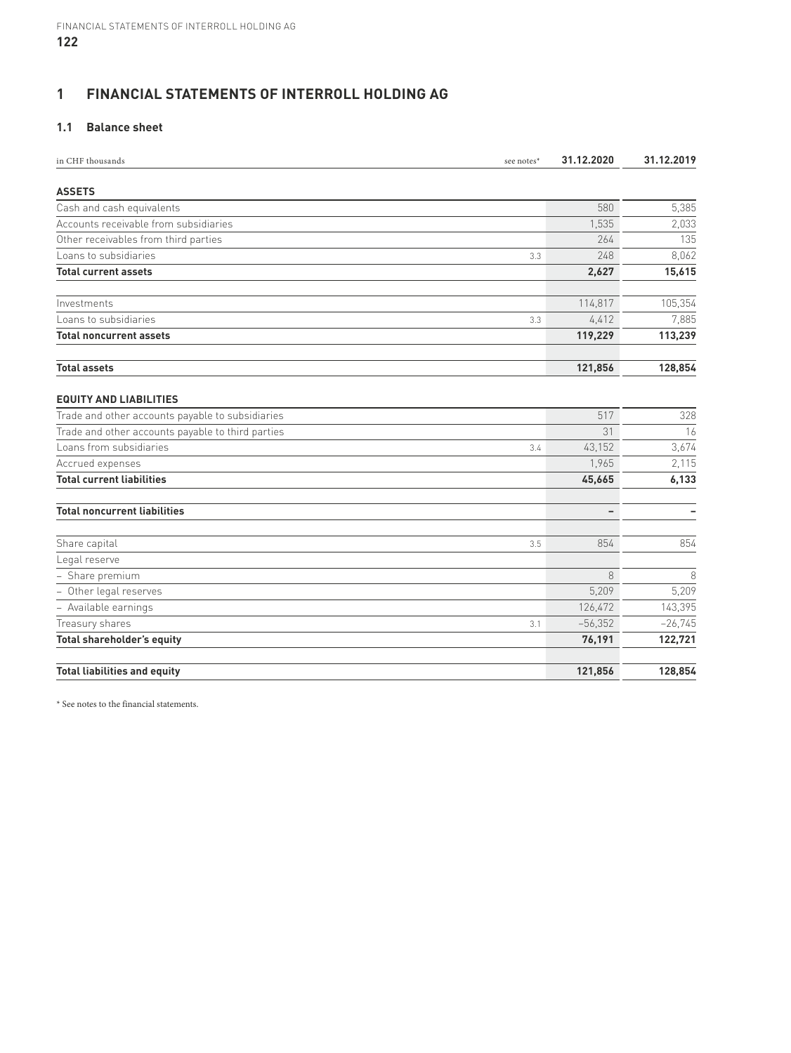# **1 FINANCIAL STATEMENTS OF INTERROLL HOLDING AG**

# **1.1 Balance sheet**

| in CHF thousands<br>see notes*                    | 31.12.2020 | 31.12.2019 |
|---------------------------------------------------|------------|------------|
| <b>ASSETS</b>                                     |            |            |
| Cash and cash equivalents                         | 580        | 5,385      |
| Accounts receivable from subsidiaries             | 1,535      | 2,033      |
|                                                   |            |            |
| Other receivables from third parties              | 264<br>248 | 135        |
| Loans to subsidiaries<br>3.3                      |            | 8,062      |
| <b>Total current assets</b>                       | 2,627      | 15,615     |
| Investments                                       | 114,817    | 105,354    |
| Loans to subsidiaries<br>3.3                      | 4,412      | 7,885      |
| <b>Total noncurrent assets</b>                    | 119,229    | 113,239    |
| <b>Total assets</b>                               | 121,856    | 128,854    |
| <b>EQUITY AND LIABILITIES</b>                     |            |            |
| Trade and other accounts payable to subsidiaries  | 517        | 328        |
| Trade and other accounts payable to third parties | 31         | 16         |
| Loans from subsidiaries<br>3.4                    | 43,152     | 3,674      |
| Accrued expenses                                  | 1,965      | 2,115      |
| <b>Total current liabilities</b>                  | 45,665     | 6,133      |
| <b>Total noncurrent liabilities</b>               | ۰          |            |
| Share capital<br>3.5                              | 854        | 854        |
| Legal reserve                                     |            |            |
| - Share premium                                   | 8          | 8          |
| - Other legal reserves                            | 5,209      | 5,209      |
| - Available earnings                              | 126,472    | 143,395    |
| Treasury shares<br>3.1                            | $-56,352$  | $-26,745$  |
| Total shareholder's equity                        | 76,191     | 122,721    |
| <b>Total liabilities and equity</b>               | 121,856    | 128,854    |

\* See notes to the financial statements.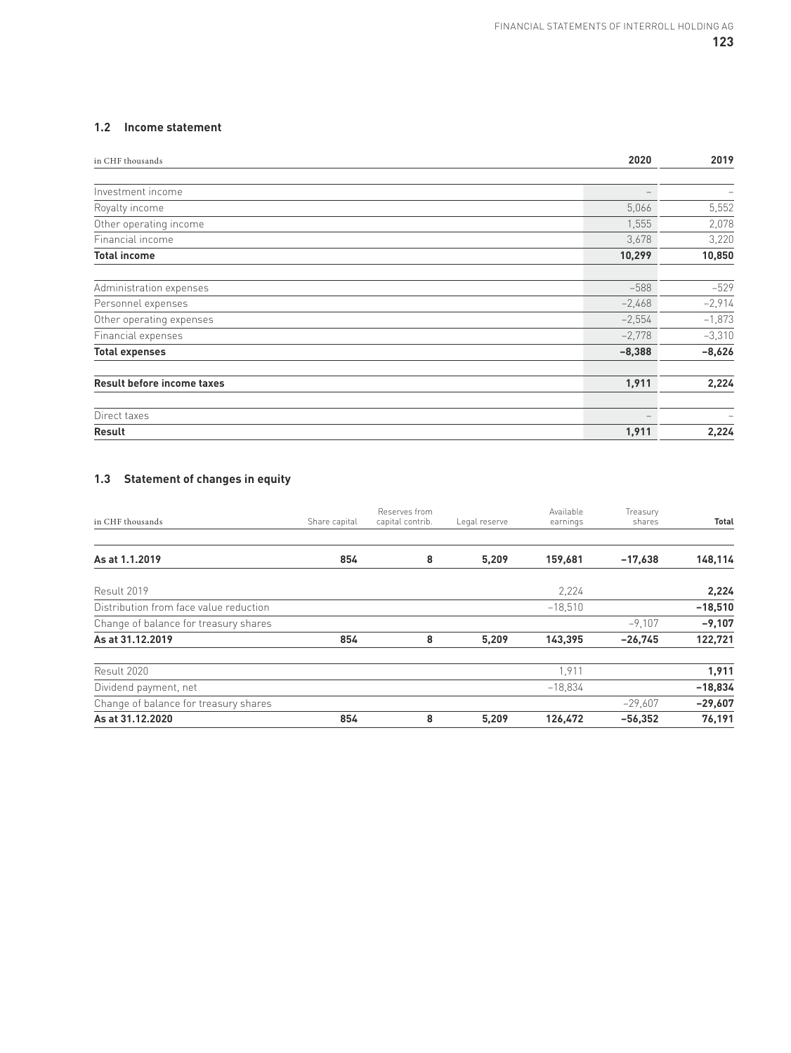# **1.2 Income statement**

| in CHF thousands                  | 2020     | 2019     |
|-----------------------------------|----------|----------|
|                                   |          |          |
| Investment income                 |          |          |
| Royalty income                    | 5,066    | 5,552    |
| Other operating income            | 1,555    | 2,078    |
| Financial income                  | 3,678    | 3,220    |
| <b>Total income</b>               | 10,299   | 10,850   |
| Administration expenses           | $-588$   | $-529$   |
| Personnel expenses                | $-2,468$ | $-2,914$ |
| Other operating expenses          | $-2,554$ | $-1,873$ |
| Financial expenses                | $-2,778$ | $-3,310$ |
| <b>Total expenses</b>             | $-8,388$ | $-8,626$ |
| <b>Result before income taxes</b> | 1,911    | 2,224    |
| Direct taxes                      |          | -        |
| Result                            | 1,911    | 2,224    |

# **1.3 Statement of changes in equity**

| in CHF thousands                       | Share capital | Reserves from<br>capital contrib. | Legal reserve | Available<br>earnings | Treasury<br>shares | <b>Total</b> |
|----------------------------------------|---------------|-----------------------------------|---------------|-----------------------|--------------------|--------------|
|                                        |               |                                   |               |                       |                    |              |
| As at 1.1.2019                         | 854           | 8                                 | 5,209         | 159,681               | $-17,638$          | 148,114      |
| Result 2019                            |               |                                   |               | 2.224                 |                    | 2,224        |
| Distribution from face value reduction |               |                                   |               | $-18,510$             |                    | $-18,510$    |
| Change of balance for treasury shares  |               |                                   |               |                       | $-9,107$           | $-9,107$     |
| As at 31.12.2019                       | 854           | 8                                 | 5,209         | 143,395               | $-26,745$          | 122,721      |
| Result 2020                            |               |                                   |               | 1,911                 |                    | 1,911        |
| Dividend payment, net                  |               |                                   |               | $-18.834$             |                    | $-18,834$    |
| Change of balance for treasury shares  |               |                                   |               |                       | $-29,607$          | $-29,607$    |
| As at 31.12.2020                       | 854           | 8                                 | 5,209         | 126,472               | $-56,352$          | 76,191       |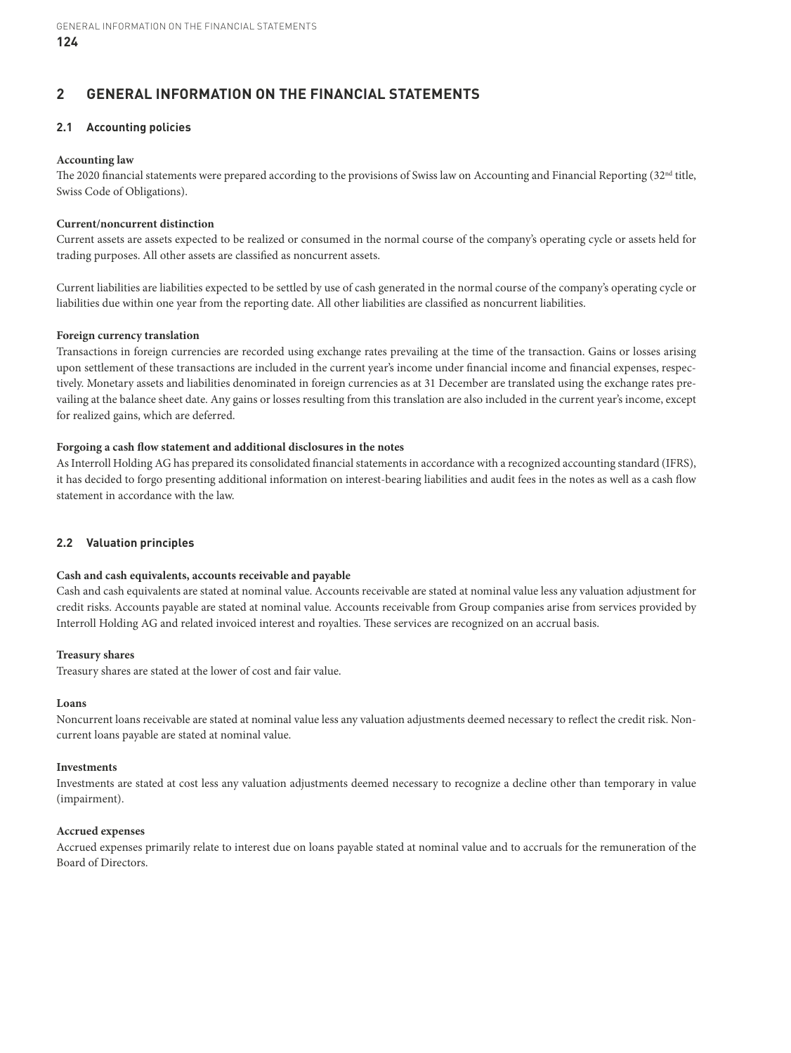# **2 GENERAL INFORMATION ON THE FINANCIAL STATEMENTS**

# **2.1 Accounting policies**

#### **Accounting law**

The 2020 financial statements were prepared according to the provisions of Swiss law on Accounting and Financial Reporting  $(32<sup>nd</sup> title)$ Swiss Code of Obligations).

#### **Current/noncurrent distinction**

Current assets are assets expected to be realized or consumed in the normal course of the company's operating cycle or assets held for trading purposes. All other assets are classified as noncurrent assets.

Current liabilities are liabilities expected to be settled by use of cash generated in the normal course of the company's operating cycle or liabilities due within one year from the reporting date. All other liabilities are classified as noncurrent liabilities.

#### **Foreign currency translation**

Transactions in foreign currencies are recorded using exchange rates prevailing at the time of the transaction. Gains or losses arising upon settlement of these transactions are included in the current year's income under financial income and financial expenses, respectively. Monetary assets and liabilities denominated in foreign currencies as at 31 December are translated using the exchange rates prevailing at the balance sheet date. Any gains or losses resulting from this translation are also included in the current year's income, except for realized gains, which are deferred.

## **Forgoing a cash flow statement and additional disclosures in the notes**

As Interroll Holding AG has prepared its consolidated financial statements in accordance with a recognized accounting standard (IFRS), it has decided to forgo presenting additional information on interest-bearing liabilities and audit fees in the notes as well as a cash flow statement in accordance with the law.

## **2.2 Valuation principles**

## **Cash and cash equivalents, accounts receivable and payable**

Cash and cash equivalents are stated at nominal value. Accounts receivable are stated at nominal value less any valuation adjustment for credit risks. Accounts payable are stated at nominal value. Accounts receivable from Group companies arise from services provided by Interroll Holding AG and related invoiced interest and royalties. These services are recognized on an accrual basis.

## **Treasury shares**

Treasury shares are stated at the lower of cost and fair value.

#### **Loans**

Noncurrent loans receivable are stated at nominal value less any valuation adjustments deemed necessary to reflect the credit risk. Noncurrent loans payable are stated at nominal value.

#### **Investments**

Investments are stated at cost less any valuation adjustments deemed necessary to recognize a decline other than temporary in value (impairment).

#### **Accrued expenses**

Accrued expenses primarily relate to interest due on loans payable stated at nominal value and to accruals for the remuneration of the Board of Directors.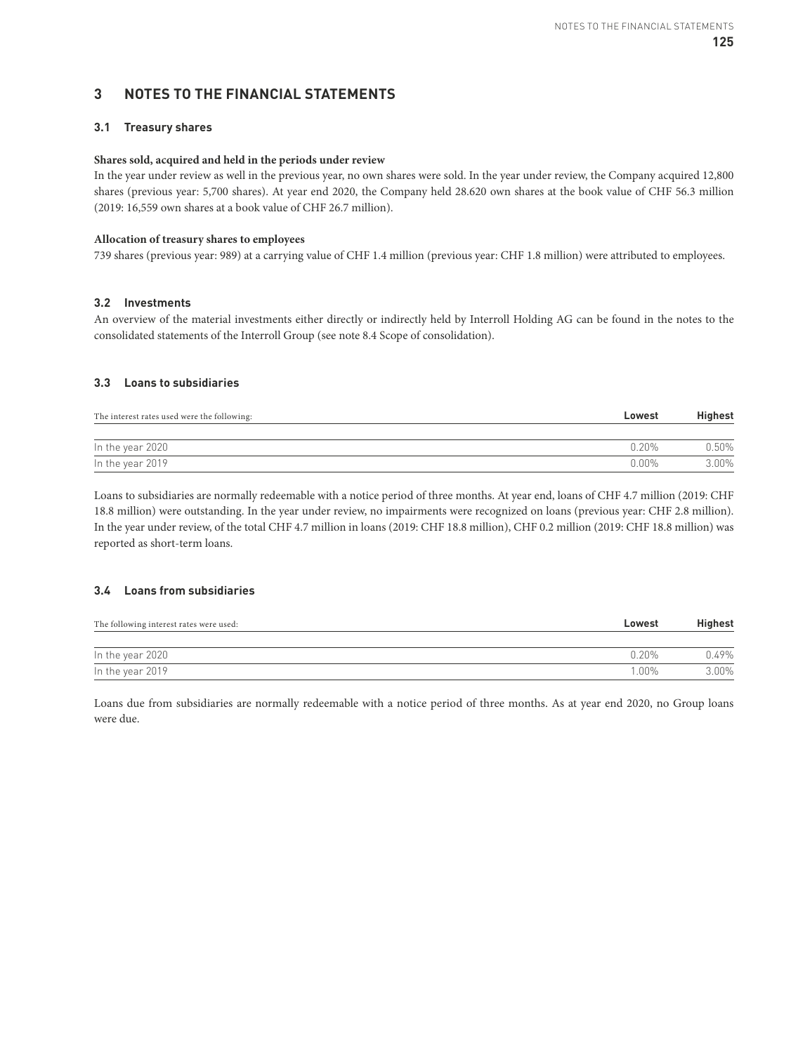# **3 NOTES TO THE FINANCIAL STATEMENTS**

## **3.1 Treasury shares**

#### **Shares sold, acquired and held in the periods under review**

In the year under review as well in the previous year, no own shares were sold. In the year under review, the Company acquired 12,800 shares (previous year: 5,700 shares). At year end 2020, the Company held 28.620 own shares at the book value of CHF 56.3 million (2019: 16,559 own shares at a book value of CHF 26.7 million).

#### **Allocation of treasury shares to employees**

739 shares (previous year: 989) at a carrying value of CHF 1.4 million (previous year: CHF 1.8 million) were attributed to employees.

#### **3.2 Investments**

An overview of the material investments either directly or indirectly held by Interroll Holding AG can be found in the notes to the consolidated statements of the Interroll Group (see note 8.4 Scope of consolidation).

# **3.3 Loans to subsidiaries**

| The interest rates used were the following: | Lowest   | <b>Highest</b> |
|---------------------------------------------|----------|----------------|
|                                             |          |                |
| In the year 2020                            | 0.20%    | 0.50%          |
| In the year 2019                            | $0.00\%$ | 3.00%          |

Loans to subsidiaries are normally redeemable with a notice period of three months. At year end, loans of CHF 4.7 million (2019: CHF 18.8 million) were outstanding. In the year under review, no impairments were recognized on loans (previous year: CHF 2.8 million). In the year under review, of the total CHF 4.7 million in loans (2019: CHF 18.8 million), CHF 0.2 million (2019: CHF 18.8 million) was reported as short-term loans.

## **3.4 Loans from subsidiaries**

| The following interest rates were used: | Lowest | <b>Highest</b> |  |
|-----------------------------------------|--------|----------------|--|
|                                         |        |                |  |
| In the year 2020                        | በ 2በ%  | 0.49%          |  |
| In the year 2019                        | 1.00%  | 3.00%          |  |

Loans due from subsidiaries are normally redeemable with a notice period of three months. As at year end 2020, no Group loans were due.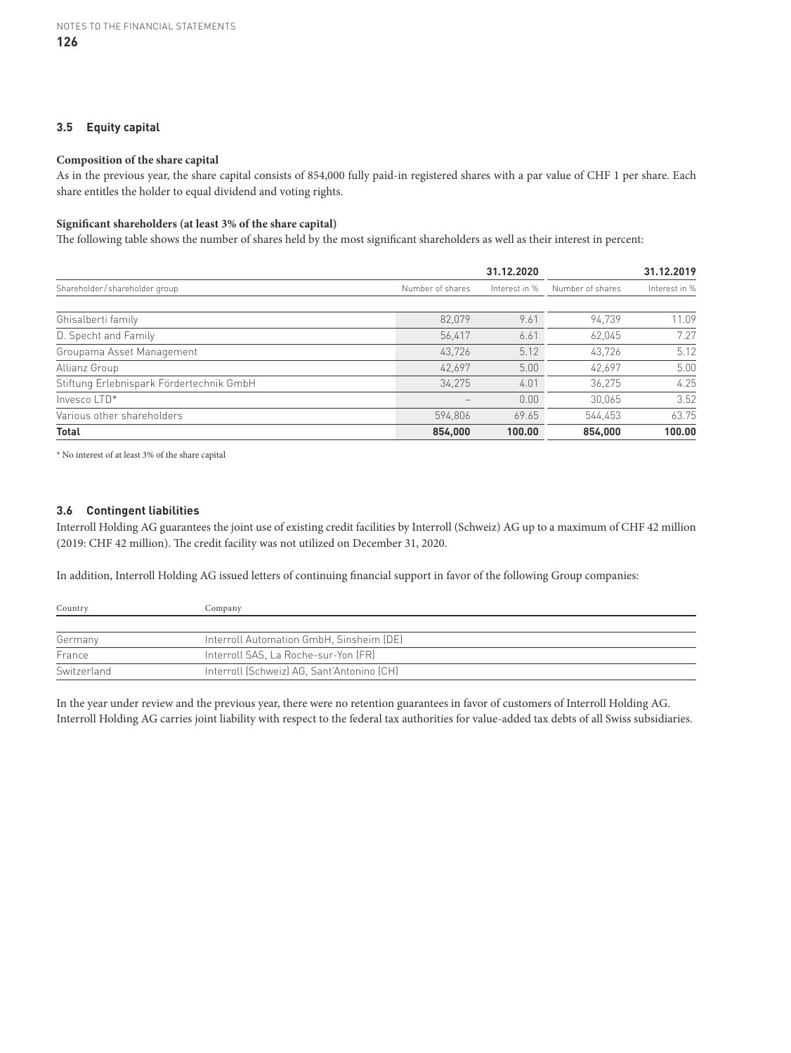# **3.5 Equity capital**

#### **Composition of the share capital**

As in the previous year, the share capital consists of 854,000 fully paid-in registered shares with a par value of CHF 1 per share. Each share entitles the holder to equal dividend and voting rights.

#### **Significant shareholders (at least 3% of the share capital)**

The following table shows the number of shares held by the most significant shareholders as well as their interest in percent:

|                                          |                  | 31.12.2020    |                  | 31.12.2019    |
|------------------------------------------|------------------|---------------|------------------|---------------|
| Shareholder/shareholder group            | Number of shares | Interest in % | Number of shares | Interest in % |
|                                          |                  |               |                  |               |
| Ghisalberti family                       | 82.079           | 9.61          | 94.739           | 11.09         |
| D. Specht and Family                     | 56.417           | 6.61          | 62,045           | 7.27          |
| Groupama Asset Management                | 43,726           | 5.12          | 43,726           | 5.12          |
| Allianz Group                            | 42.697           | 5.00          | 42.697           | 5.00          |
| Stiftung Erlebnispark Fördertechnik GmbH | 34,275           | 4.01          | 36,275           | 4.25          |
| Invesco LTD*                             |                  | 0.00          | 30,065           | 3.52          |
| Various other shareholders               | 594.806          | 69.65         | 544.453          | 63.75         |
| <b>Total</b>                             | 854,000          | 100.00        | 854,000          | 100.00        |

 $^\star$  No interest of at least 3% of the share capital

## **3.6 Contingent liabilities**

Interroll Holding AG guarantees the joint use of existing credit facilities by Interroll (Schweiz) AG up to a maximum of CHF 42 million (2019: CHF 42 million). The credit facility was not utilized on December 31, 2020.

In addition, Interroll Holding AG issued letters of continuing financial support in favor of the following Group companies:

| Country     | Company                                    |  |
|-------------|--------------------------------------------|--|
|             |                                            |  |
| Germany     | Interroll Automation GmbH, Sinsheim (DE)   |  |
| France      | Interroll SAS, La Roche-sur-Yon (FR)       |  |
| Switzerland | Interroll (Schweiz) AG, Sant'Antonino (CH) |  |

In the year under review and the previous year, there were no retention guarantees in favor of customers of Interroll Holding AG. Interroll Holding AG carries joint liability with respect to the federal tax authorities for value-added tax debts of all Swiss subsidiaries.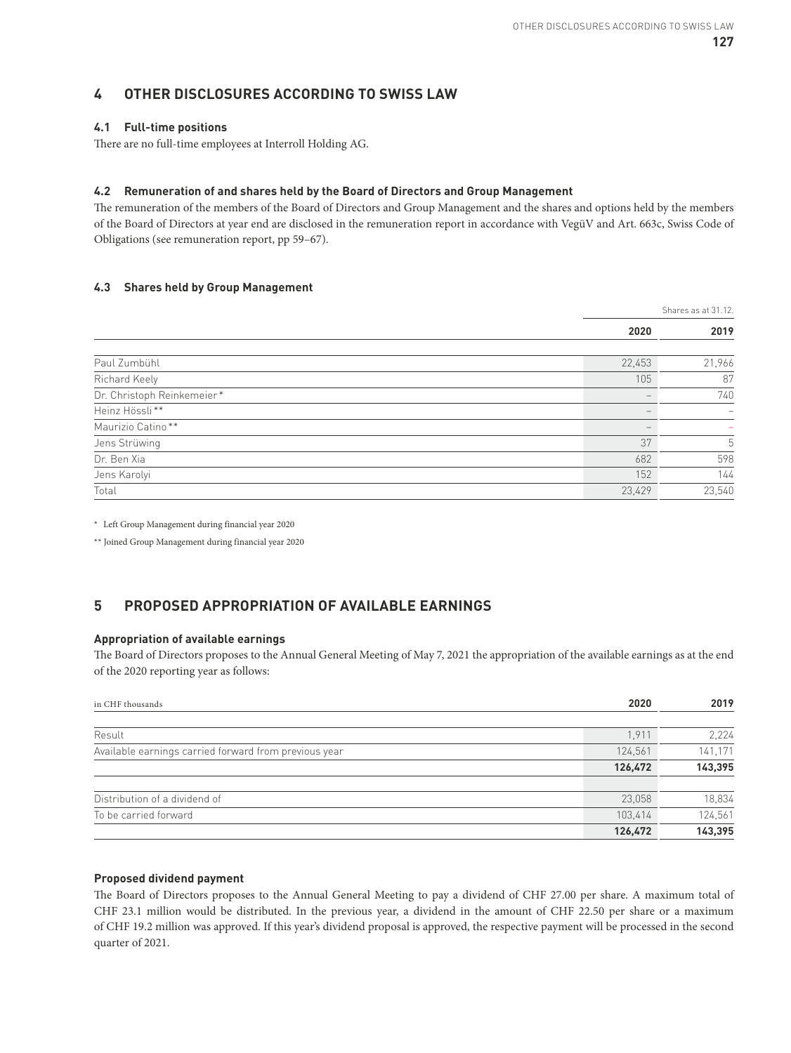# **4 OTHER DISCLOSURES ACCORDING TO SWISS LAW**

# **4.1 Full-time positions**

There are no full-time employees at Interroll Holding AG.

# **4.2 Remuneration of and shares held by the Board of Directors and Group Management**

The remuneration of the members of the Board of Directors and Group Management and the shares and options held by the members of the Board of Directors at year end are disclosed in the remuneration report in accordance with VegüV and Art. 663c, Swiss Code of Obligations (see remuneration report, pp 59–67).

## **4.3 Shares held by Group Management**

|                            | Shares as at 31.12. |        |
|----------------------------|---------------------|--------|
|                            | 2020                | 2019   |
|                            |                     |        |
| Paul Zumbühl               | 22,453              | 21,966 |
| Richard Keely              | 105                 | 87     |
| Dr. Christoph Reinkemeier* |                     | 740    |
| Heinz Hössli**             |                     |        |
| Maurizio Catino**          |                     |        |
| Jens Strüwing              | 37                  | 5      |
| Dr. Ben Xia                | 682                 | 598    |
| Jens Karolyi               | 152                 | 144    |
| Total                      | 23,429              | 23,540 |

\* Left Group Management during financial year 2020

\*\* Joined Group Management during financial year 2020

# **5 PROPOSED APPROPRIATION OF AVAILABLE EARNINGS**

## **Appropriation of available earnings**

The Board of Directors proposes to the Annual General Meeting of May 7, 2021 the appropriation of the available earnings as at the end of the 2020 reporting year as follows:

| in CHF thousands                                      | 2020    | 2019    |
|-------------------------------------------------------|---------|---------|
|                                                       |         |         |
| Result                                                | 1.911   | 2,224   |
| Available earnings carried forward from previous year | 124,561 | 141,171 |
|                                                       | 126,472 | 143,395 |
|                                                       |         |         |
| Distribution of a dividend of                         | 23.058  | 18,834  |
| To be carried forward                                 | 103,414 | 124,561 |
|                                                       | 126,472 | 143,395 |

## **Proposed dividend payment**

The Board of Directors proposes to the Annual General Meeting to pay a dividend of CHF 27.00 per share. A maximum total of CHF 23.1 million would be distributed. In the previous year, a dividend in the amount of CHF 22.50 per share or a maximum of CHF 19.2 million was approved. If this year's dividend proposal is approved, the respective payment will be processed in the second quarter of 2021.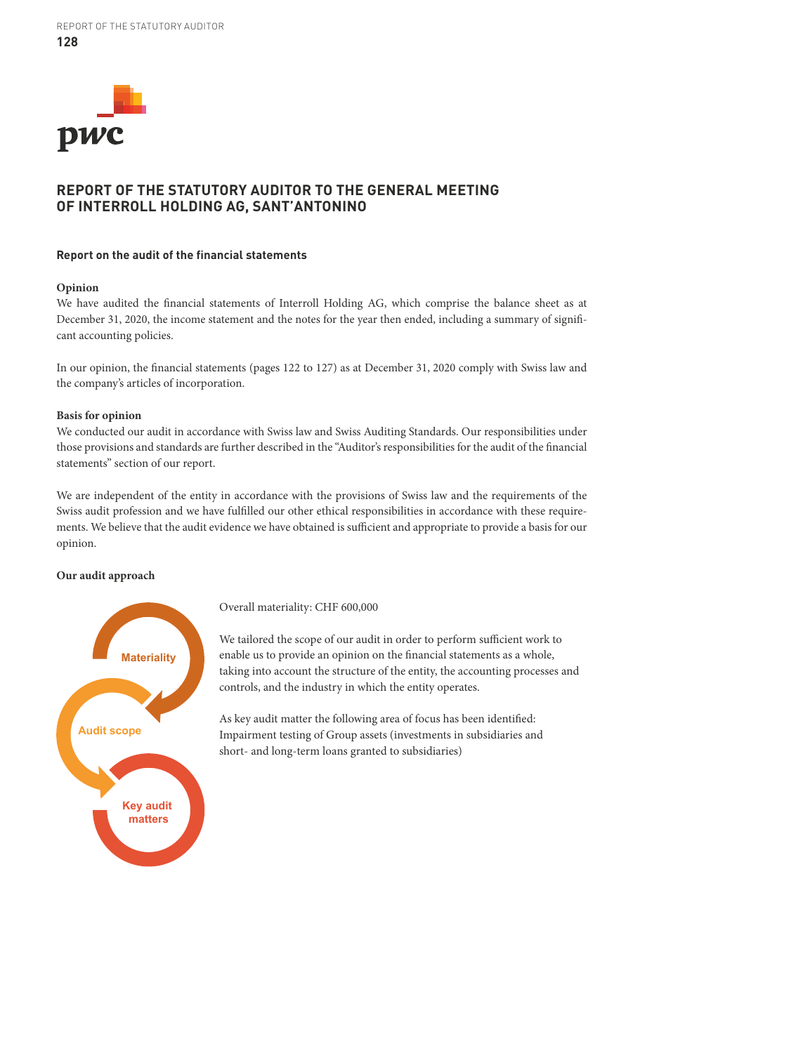

# **REPORT OF THE STATUTORY AUDITOR TO THE GENERAL MEETING OF INTERROLL HOLDING AG, SANT'ANTONINO**

#### **Report on the audit of the financial statements**

#### **Opinion**

We have audited the financial statements of Interroll Holding AG, which comprise the balance sheet as at December 31, 2020, the income statement and the notes for the year then ended, including a summary of significant accounting policies.

In our opinion, the financial statements (pages 122 to 127) as at December 31, 2020 comply with Swiss law and the company's articles of incorporation.

#### **Basis for opinion**

We conducted our audit in accordance with Swiss law and Swiss Auditing Standards. Our responsibilities under those provisions and standards are further described in the "Auditor's responsibilities for the audit of the financial statements" section of our report.

We are independent of the entity in accordance with the provisions of Swiss law and the requirements of the Swiss audit profession and we have fulfilled our other ethical responsibilities in accordance with these requirements. We believe that the audit evidence we have obtained is sufficient and appropriate to provide a basis for our opinion.

#### **Our audit approach**



Overall materiality: CHF 600,000

We tailored the scope of our audit in order to perform sufficient work to enable us to provide an opinion on the financial statements as a whole, taking into account the structure of the entity, the accounting processes and controls, and the industry in which the entity operates.

As key audit matter the following area of focus has been identified: Impairment testing of Group assets (investments in subsidiaries and short- and long-term loans granted to subsidiaries)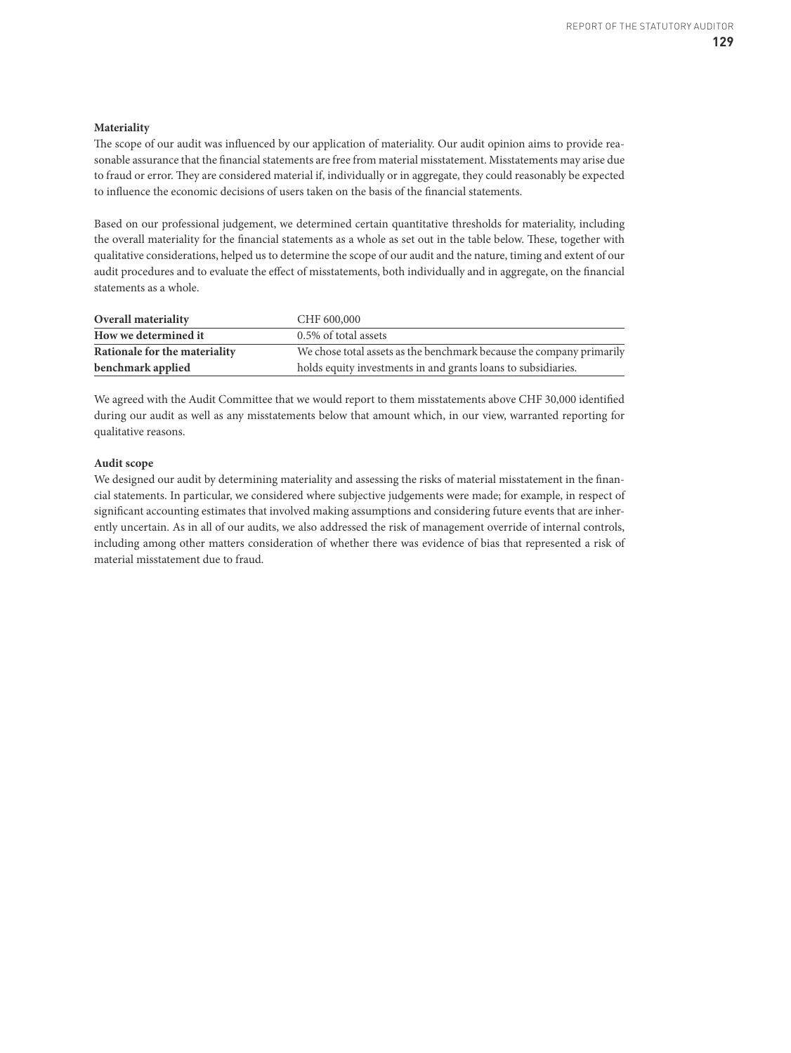#### **Materiality**

The scope of our audit was influenced by our application of materiality. Our audit opinion aims to provide reasonable assurance that the financial statements are free from material misstatement. Misstatements may arise due to fraud or error. They are considered material if, individually or in aggregate, they could reasonably be expected to influence the economic decisions of users taken on the basis of the financial statements.

Based on our professional judgement, we determined certain quantitative thresholds for materiality, including the overall materiality for the financial statements as a whole as set out in the table below. These, together with qualitative considerations, helped us to determine the scope of our audit and the nature, timing and extent of our audit procedures and to evaluate the effect of misstatements, both individually and in aggregate, on the financial statements as a whole.

| <b>Overall materiality</b>    | CHF 600,000                                                          |
|-------------------------------|----------------------------------------------------------------------|
| How we determined it          | 0.5% of total assets                                                 |
| Rationale for the materiality | We chose total assets as the benchmark because the company primarily |
| benchmark applied             | holds equity investments in and grants loans to subsidiaries.        |

We agreed with the Audit Committee that we would report to them misstatements above CHF 30,000 identified during our audit as well as any misstatements below that amount which, in our view, warranted reporting for qualitative reasons.

#### **Audit scope**

We designed our audit by determining materiality and assessing the risks of material misstatement in the financial statements. In particular, we considered where subjective judgements were made; for example, in respect of significant accounting estimates that involved making assumptions and considering future events that are inherently uncertain. As in all of our audits, we also addressed the risk of management override of internal controls, including among other matters consideration of whether there was evidence of bias that represented a risk of material misstatement due to fraud.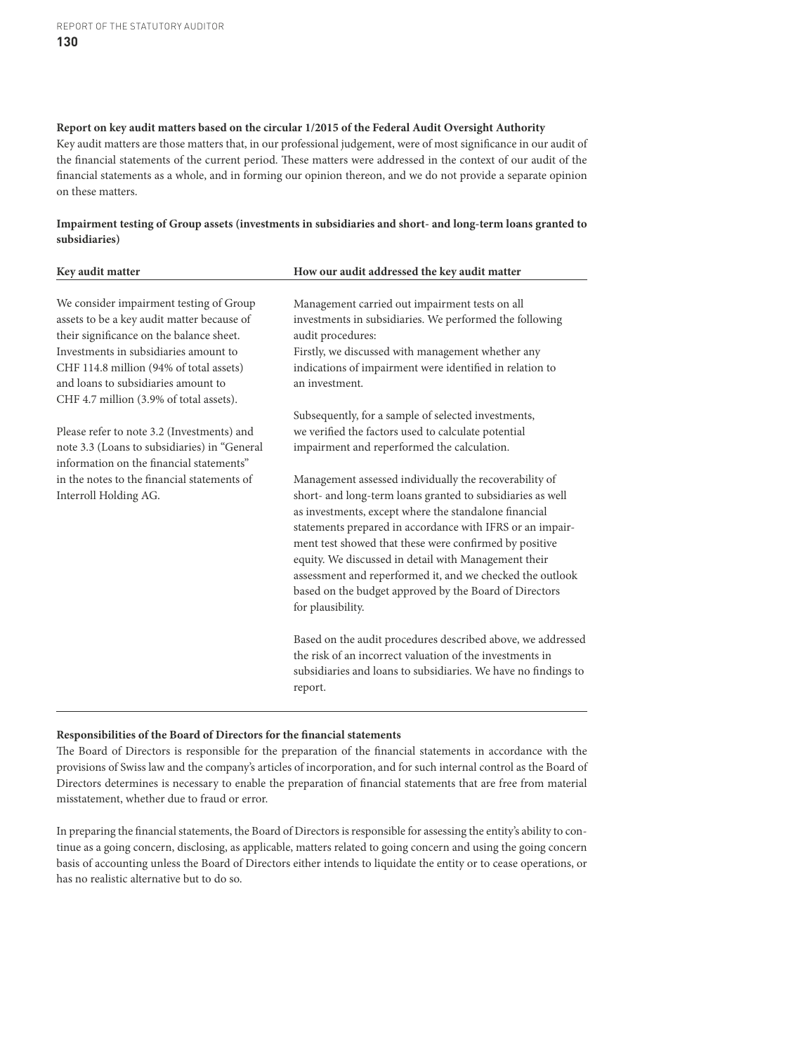#### **Report on key audit matters based on the circular 1/2015 of the Federal Audit Oversight Authority**

Key audit matters are those matters that, in our professional judgement, were of most significance in our audit of the financial statements of the current period. These matters were addressed in the context of our audit of the financial statements as a whole, and in forming our opinion thereon, and we do not provide a separate opinion on these matters.

**Impairment testing of Group assets (investments in subsidiaries and short- and long-term loans granted to subsidiaries)**

| Key audit matter                                                                         | How our audit addressed the key audit matter                   |
|------------------------------------------------------------------------------------------|----------------------------------------------------------------|
|                                                                                          |                                                                |
| We consider impairment testing of Group                                                  | Management carried out impairment tests on all                 |
| assets to be a key audit matter because of                                               | investments in subsidiaries. We performed the following        |
| their significance on the balance sheet.                                                 | audit procedures:                                              |
| Investments in subsidiaries amount to                                                    | Firstly, we discussed with management whether any              |
| CHF 114.8 million (94% of total assets)                                                  | indications of impairment were identified in relation to       |
| and loans to subsidiaries amount to                                                      | an investment.                                                 |
| CHF 4.7 million (3.9% of total assets).                                                  |                                                                |
|                                                                                          | Subsequently, for a sample of selected investments,            |
| Please refer to note 3.2 (Investments) and                                               | we verified the factors used to calculate potential            |
| note 3.3 (Loans to subsidiaries) in "General<br>information on the financial statements" | impairment and reperformed the calculation.                    |
| in the notes to the financial statements of                                              | Management assessed individually the recoverability of         |
| Interroll Holding AG.                                                                    | short- and long-term loans granted to subsidiaries as well     |
|                                                                                          | as investments, except where the standalone financial          |
|                                                                                          | statements prepared in accordance with IFRS or an impair-      |
|                                                                                          | ment test showed that these were confirmed by positive         |
|                                                                                          | equity. We discussed in detail with Management their           |
|                                                                                          | assessment and reperformed it, and we checked the outlook      |
|                                                                                          | based on the budget approved by the Board of Directors         |
|                                                                                          | for plausibility.                                              |
|                                                                                          | Based on the audit procedures described above, we addressed    |
|                                                                                          | the risk of an incorrect valuation of the investments in       |
|                                                                                          | subsidiaries and loans to subsidiaries. We have no findings to |
|                                                                                          | report.                                                        |
|                                                                                          |                                                                |

#### **Responsibilities of the Board of Directors for the financial statements**

The Board of Directors is responsible for the preparation of the financial statements in accordance with the provisions of Swiss law and the company's articles of incorporation, and for such internal control as the Board of Directors determines is necessary to enable the preparation of financial statements that are free from material misstatement, whether due to fraud or error.

In preparing the financial statements, the Board of Directors is responsible for assessing the entity's ability to continue as a going concern, disclosing, as applicable, matters related to going concern and using the going concern basis of accounting unless the Board of Directors either intends to liquidate the entity or to cease operations, or has no realistic alternative but to do so.